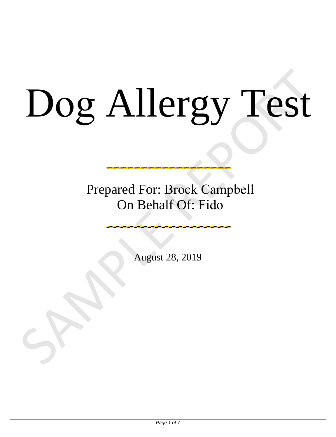# Dog Allergy Test Dog Allergy Test

Prepared For: Brock Campbell On Behalf Of: Fido

August 28, 2019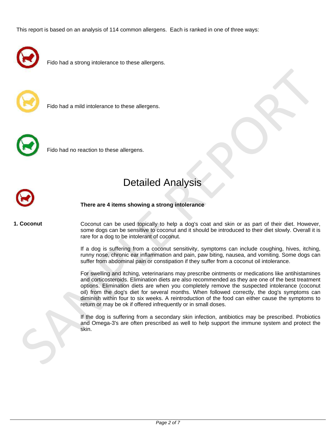This report is based on an analysis of 114 common allergens. Each is ranked in one of three ways:



Fido had a strong intolerance to these allergens.



Fido had a mild intolerance to these allergens.



Fido had no reaction to these allergens.

# Detailed Analysis



**There are 4 items showing a strong intolerance**

**1. Coconut**

Coconut can be used topically to help a dog's coat and skin or as part of their diet. However, some dogs can be sensitive to coconut and it should be introduced to their diet slowly. Overall it is rare for a dog to be intolerant of coconut.

If a dog is suffering from a coconut sensitivity, symptoms can include coughing, hives, itching, runny nose, chronic ear inflammation and pain, paw biting, nausea, and vomiting. Some dogs can suffer from abdominal pain or constipation if they suffer from a coconut oil intolerance.

For swelling and itching, veterinarians may prescribe ointments or medications like antihistamines and corticosteroids. Elimination diets are also recommended as they are one of the best treatment options. Elimination diets are when you completely remove the suspected intolerance (coconut oil) from the dog's diet for several months. When followed correctly, the dog's symptoms can diminish within four to six weeks. A reintroduction of the food can either cause the symptoms to return or may be ok if offered infrequently or in small doses. Fido had a mild intelectance to these altergens.<br>
Detailed Analysis<br>
There are 4 tems showing a strong intelectance<br>
Cocontit<br>
Second the net alternative to the state of the state of the state of the state of their dist. H

If the dog is suffering from a secondary skin infection, antibiotics may be prescribed. Probiotics and Omega-3's are often prescribed as well to help support the immune system and protect the skin.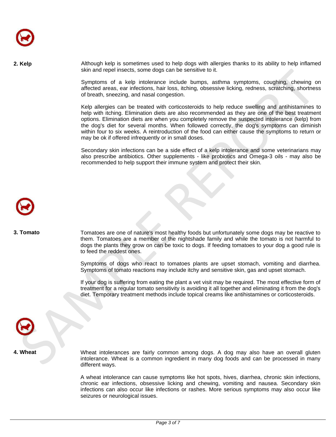**2. Kelp** Although kelp is sometimes used to help dogs with allergies thanks to its ability to help inflamed skin and repel insects, some dogs can be sensitive to it.

> Symptoms of a kelp intolerance include bumps, asthma symptoms, coughing, chewing on affected areas, ear infections, hair loss, itching, obsessive licking, redness, scratching, shortness of breath, sneezing, and nasal congestion.

Kelp allergies can be treated with corticosteroids to help reduce swelling and antihistamines to help with itching. Elimination diets are also recommended as they are one of the best treatment options. Elimination diets are when you completely remove the suspected intolerance (kelp) from the dog's diet for several months. When followed correctly, the dog's symptoms can diminish within four to six weeks. A reintroduction of the food can either cause the symptoms to return or may be ok if offered infrequently or in small doses. skin and repell massis, some congits cannot be sensitive to rif.<br>
Symptoms of a kelp intoidence include buring, asshma symptoms, coughing, thewing<br>
divided ures, surface in infortaions, half loss itching, closessive lickin

Secondary skin infections can be a side effect of a kelp intolerance and some veterinarians may also prescribe antibiotics. Other supplements - like probiotics and Omega-3 oils - may also be recommended to help support their immune system and protect their skin.



**3. Tomato**

Tomatoes are one of nature's most healthy foods but unfortunately some dogs may be reactive to them. Tomatoes are a member of the nightshade family and while the tomato is not harmful to dogs the plants they grow on can be toxic to dogs. If feeding tomatoes to your dog a good rule is to feed the reddest ones.

Symptoms of dogs who react to tomatoes plants are upset stomach, vomiting and diarrhea. Symptoms of tomato reactions may include itchy and sensitive skin, gas and upset stomach.

If your dog is suffering from eating the plant a vet visit may be required. The most effective form of treatment for a regular tomato sensitivity is avoiding it all together and eliminating it from the dog's diet. Temporary treatment methods include topical creams like antihistamines or corticosteroids.

**4. Wheat**

Wheat intolerances are fairly common among dogs. A dog may also have an overall gluten intolerance. Wheat is a common ingredient in many dog foods and can be processed in many different ways.

A wheat intolerance can cause symptoms like hot spots, hives, diarrhea, chronic skin infections, chronic ear infections, obsessive licking and chewing, vomiting and nausea. Secondary skin infections can also occur like infections or rashes. More serious symptoms may also occur like seizures or neurological issues.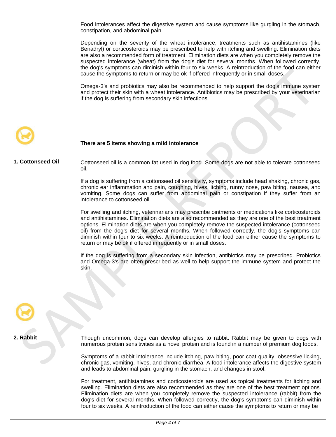Food intolerances affect the digestive system and cause symptoms like gurgling in the stomach, constipation, and abdominal pain.

Depending on the severity of the wheat intolerance, treatments such as antihistamines (like Benadryl) or corticosteroids may be prescribed to help with itching and swelling. Elimination diets are also a recommended form of treatment. Elimination diets are when you completely remove the suspected intolerance (wheat) from the dog's diet for several months. When followed correctly, the dog's symptoms can diminish within four to six weeks. A reintroduction of the food can either cause the symptoms to return or may be ok if offered infrequently or in small doses.

Omega-3's and probiotics may also be recommended to help support the dog's immune system and protect their skin with a wheat intolerance. Antibiotics may be prescribed by your veterinarian if the dog is suffering from secondary skin infections.



### **There are 5 items showing a mild intolerance**

**1. Cottonseed Oil** Cottonseed oil is a common fat used in dog food. Some dogs are not able to tolerate cottonseed oil.

> If a dog is suffering from a cottonseed oil sensitivity, symptoms include head shaking, chronic gas, chronic ear inflammation and pain, coughing, hives, itching, runny nose, paw biting, nausea, and vomiting. Some dogs can suffer from abdominal pain or constipation if they suffer from an intolerance to cottonseed oil.

For swelling and itching, veterinarians may prescribe ointments or medications like corticosteroids and antihistamines. Elimination diets are also recommended as they are one of the best treatment options. Elimination diets are when you completely remove the suspected intolerance (cottonseed oil) from the dog's diet for several months. When followed correctly, the dog's symptoms can diminish within four to six weeks. A reintroduction of the food can either cause the symptoms to return or may be ok if offered infrequently or in small doses. Contents the symptoms to reduce the symptoms for the content of the supercept the dogs in the problem and stores.<br>
The content of the symptoms of the symptoms of the symptoms of the symptoms of the symptoms and protect tha

If the dog is suffering from a secondary skin infection, antibiotics may be prescribed. Probiotics and Omega-3's are often prescribed as well to help support the immune system and protect the skin.

**2. Rabbit**

Though uncommon, dogs can develop allergies to rabbit. Rabbit may be given to dogs with numerous protein sensitivities as a novel protein and is found in a number of premium dog foods.

Symptoms of a rabbit intolerance include itching, paw biting, poor coat quality, obsessive licking, chronic gas, vomiting, hives, and chronic diarrhea. A food intolerance affects the digestive system and leads to abdominal pain, gurgling in the stomach, and changes in stool.

For treatment, antihistamines and corticosteroids are used as topical treatments for itching and swelling. Elimination diets are also recommended as they are one of the best treatment options. Elimination diets are when you completely remove the suspected intolerance (rabbit) from the dog's diet for several months. When followed correctly, the dog's symptoms can diminish within four to six weeks. A reintroduction of the food can either cause the symptoms to return or may be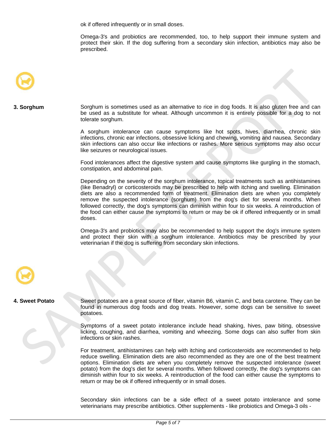ok if offered infrequently or in small doses.

Omega-3's and probiotics are recommended, too, to help support their immune system and protect their skin. If the dog suffering from a secondary skin infection, antibiotics may also be prescribed.



## **3. Sorghum**

Sorghum is sometimes used as an alternative to rice in dog foods. It is also gluten free and can be used as a substitute for wheat. Although uncommon it is entirely possible for a dog to not tolerate sorghum.

A sorghum intolerance can cause symptoms like hot spots, hives, diarrhea, chronic skin infections, chronic ear infections, obsessive licking and chewing, vomiting and nausea. Secondary skin infections can also occur like infections or rashes. More serious symptoms may also occur like seizures or neurological issues.

Food intolerances affect the digestive system and cause symptoms like gurgling in the stomach, constipation, and abdominal pain.

Depending on the severity of the sorghum intolerance, topical treatments such as antihistamines (like Benadryl) or corticosteroids may be prescribed to help with itching and swelling. Elimination diets are also a recommended form of treatment. Elimination diets are when you completely remove the suspected intolerance (sorghum) from the dog's diet for several months. When followed correctly, the dog's symptoms can diminish within four to six weeks. A reintroduction of the food can either cause the symptoms to return or may be ok if offered infrequently or in small doses. Sorghum is sometimes used as an alternative to rise in dog foods. It is also gluten free and<br>to the task as a substitute for wheat. Attraugin uncommon it is entirely passible for a dog to<br>method sorghum.<br>The property const

Omega-3's and probiotics may also be recommended to help support the dog's immune system and protect their skin with a sorghum intolerance. Antibiotics may be prescribed by your veterinarian if the dog is suffering from secondary skin infections.



### **4. Sweet Potato**

Sweet potatoes are a great source of fiber, vitamin B6, vitamin C, and beta carotene. They can be found in numerous dog foods and dog treats. However, some dogs can be sensitive to sweet potatoes.

Symptoms of a sweet potato intolerance include head shaking, hives, paw biting, obsessive licking, coughing, and diarrhea, vomiting and wheezing. Some dogs can also suffer from skin infections or skin rashes.

For treatment, antihistamines can help with itching and corticosteroids are recommended to help reduce swelling. Elimination diets are also recommended as they are one of the best treatment options. Elimination diets are when you completely remove the suspected intolerance (sweet potato) from the dog's diet for several months. When followed correctly, the dog's symptoms can diminish within four to six weeks. A reintroduction of the food can either cause the symptoms to return or may be ok if offered infrequently or in small doses.

Secondary skin infections can be a side effect of a sweet potato intolerance and some veterinarians may prescribe antibiotics. Other supplements - like probiotics and Omega-3 oils -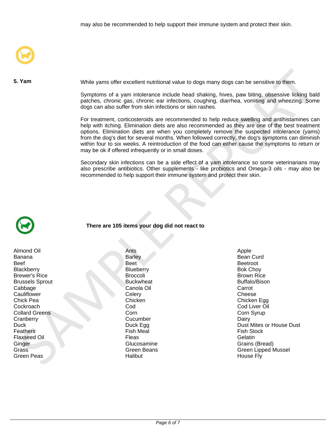

**5. Yam**

While yams offer excellent nutritional value to dogs many dogs can be sensitive to them.

Symptoms of a yam intolerance include head shaking, hives, paw biting, obsessive licking bald patches, chronic gas, chronic ear infections, coughing, diarrhea, vomiting and wheezing. Some dogs can also suffer from skin infections or skin rashes.

For treatment, corticosteroids are recommended to help reduce swelling and antihistamines can help with itching. Elimination diets are also recommended as they are one of the best treatment options. Elimination diets are when you completely remove the suspected intolerance (yams) from the dog's diet for several months. When followed correctly, the dog's symptoms can diminish within four to six weeks. A reintroduction of the food can either cause the symptoms to return or may be ok if offered infrequently or in small doses. Yam<br>
Symptoms of a yam intelection include head shaking, hives, pay bling, obsessive licking<br>
Symptoms of a yam intelections include head shaking, hives, pay bling, obsessive licking bath<br>
Data can be compared, controlling

Secondary skin infections can be a side effect of a yam intolerance so some veterinarians may also prescribe antibiotics. Other supplements - like probiotics and Omega-3 oils - may also be recommended to help support their immune system and protect their skin.



Almond Oil **Antique Antique Antique Antique Antique Antique Antique Antique Apple** Banana **Banana** Banana Banar Banana Banar Banar Banar Banar Bean Curd Beef Beetroot Beetroot Beetroot Beetroot Beetroot Beetroot Beetroot Beetroot Beetroot Beetroot Beetroot Beetroot Blackberry **Blueberry Blueberry Blueberry** Bok Choy Brewer's Rice **Brown Rice Brown Rice** Brown Rice **Brown Rice** Brown Rice **Brown Rice** Brussels Sprout **Buckwheat** Buffalo/Bison<br>
Canola Oil Canola Oil Canola Oil Carrot Cabbage Canola Oil Carrot Cauliflower Cheese Celery Cheese Cheese Cheese Cheese Cheese Cheese Cheese Cheese Cheese Chick Pea Chicken Chicken Chicken Chicken Chicken Chicken Egg<br>Cockroach Cod Cod Cod Cod Cod Cod Liver Oil Collard Greens Cranberry Dairy Cucumber Cucumber Dairy **Feathers For Fish Stock Fish Meal Fish Stock Fish Stock Fish Stock Fish Stock Fish Stock Fish Stock Fish Stock** Flaxseed Oil Fleas Gelatin Ginger Glucosamine Grains (Bread) Green Peas New York Halibut Halibut House Fly

**There are 105 items your dog did not react to**

Cod Cod Liver Oil و Cod Liver Oil<br>Corn و Corn Syrup

Duck Duck Egg Duck Dust Mites or House Dust Mites or House Dust Preathers<br>
Fish Meal Prince Contains a Containers of the Contains of the Contains of the Contains of the Contains of the Contains of the Contains of the Conta Grass Green Beans Green Beans Green Communications of the Green Lipped Mussel<br>Green Peas Green Communications of the House Creen Allied House Fly